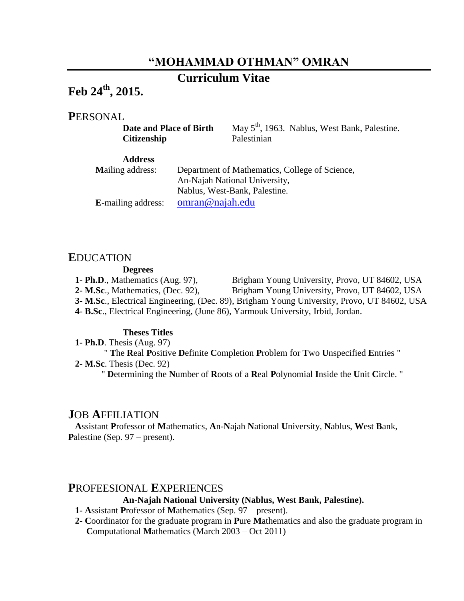# **"MOHAMMAD OTHMAN" OMRAN**

# **Curriculum Vitae**

# **Feb 24 th , 2015.**

## **P**ERSONAL

**Citizenship** Palestinian

**Date and Place of Birth** May 5<sup>th</sup>, 1963. Nablus, West Bank, Palestine.

| <b>Address</b>             |                                                |
|----------------------------|------------------------------------------------|
| <b>Mailing address:</b>    | Department of Mathematics, College of Science, |
|                            | An-Najah National University,                  |
|                            | Nablus, West-Bank, Palestine.                  |
| <b>E</b> -mailing address: | omran@najah.edu                                |

#### **E**DUCATION

#### **Degrees**

- **1 Ph.D**., Mathematics (Aug. 97), Brigham Young University, Provo, UT 84602, USA
- **2 M.Sc**., Mathematics, (Dec. 92), Brigham Young University, Provo, UT 84602, USA
- **3 M.Sc**., Electrical Engineering, (Dec. 89), Brigham Young University, Provo, UT 84602, USA
- **4 B.Sc**., Electrical Engineering, (June 86), Yarmouk University, Irbid, Jordan.

#### **Theses Titles**

**1**- **Ph.D**. Thesis (Aug. 97) " **T**he **R**eal **P**ositive **D**efinite **C**ompletion **P**roblem for **T**wo **U**nspecified **E**ntries " **2**- **M.Sc**. Thesis (Dec. 92)

" **D**etermining the **N**umber of **R**oots of a **R**eal **P**olynomial **I**nside the **U**nit **C**ircle. "

#### **J**OB **A**FFILIATION

**A**ssistant **P**rofessor of **M**athematics, **A**n-**N**ajah **N**ational **U**niversity, **N**ablus, **W**est **B**ank, Palestine (Sep. 97 – present).

### **P**ROFEESIONAL **E**XPERIENCES

#### **An-Najah National University (Nablus, West Bank, Palestine).**

#### **1**- **A**ssistant **P**rofessor of **M**athematics (Sep. 97 – present).

**2**- **C**oordinator for the graduate program in **P**ure **M**athematics and also the graduate program in **C**omputational **M**athematics (March 2003 – Oct 2011)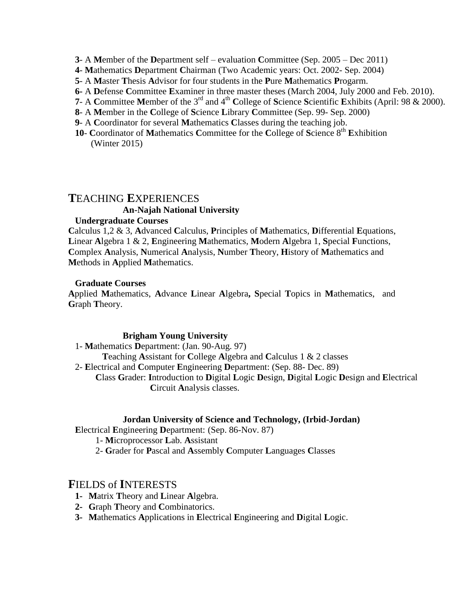- **3** A **M**ember of the **D**epartment self evaluation **C**ommittee (Sep. 2005 Dec 2011)
- **4 M**athematics **D**epartment **C**hairman (Two Academic years: Oct. 2002- Sep. 2004)
- **5** A **M**aster **T**hesis **A**dvisor for four students in the **P**ure **M**athematics **P**rogarm.
- **6-** A **D**efense **C**ommittee **E**xaminer in three master theses (March 2004, July 2000 and Feb. 2010).
- **7** A **C**ommittee **M**ember of the 3rd and 4th **C**ollege of **S**cience **S**cientific **E**xhibits (April: 98 & 2000).
- **8** A **M**ember in the **C**ollege of **S**cience **L**ibrary **C**ommittee (Sep. 99- Sep. 2000)
- **9** A **C**oordinator for several **M**athematics **C**lasses during the teaching job.
- **10 C**oordinator of **M**athematics **C**ommittee for the **C**ollege of **S**cience 8th **E**xhibition (Winter 2015)

# **T**EACHING **E**XPERIENCES **An-Najah National University**

#### **Undergraduate Courses**

**C**alculus 1,2 & 3, **A**dvanced **C**alculus, **P**rinciples of **M**athematics, **D**ifferential **E**quations, **L**inear **A**lgebra 1 & 2, **E**ngineering **M**athematics, **M**odern **A**lgebra 1, **S**pecial **F**unctions, **C**omplex **A**nalysis, **N**umerical **A**nalysis, **N**umber **T**heory, **H**istory of **M**athematics and **M**ethods in **A**pplied **M**athematics.

#### **Graduate Courses**

**A**pplied **M**athematics, **A**dvance **L**inear **A**lgebra**, S**pecial **T**opics in **M**athematics, and **G**raph **T**heory.

#### **Brigham Young University**

1- **M**athematics **D**epartment: (Jan. 90-Aug. 97) **T**eaching **A**ssistant for **C**ollege **A**lgebra and **C**alculus 1 & 2 classes 2- **E**lectrical and **C**omputer **E**ngineering **D**epartment: (Sep. 88- Dec. 89) **C**lass **G**rader: **I**ntroduction to **D**igital **L**ogic **D**esign, **D**igital **L**ogic **D**esign and **E**lectrical **C**ircuit **A**nalysis classes.

#### **Jordan University of Science and Technology, (Irbid-Jordan)**

**E**lectrical **E**ngineering **D**epartment: (Sep. 86-Nov. 87)

1- **M**icroprocessor **L**ab. **A**ssistant

2- **G**rader for **P**ascal and **A**ssembly **C**omputer **L**anguages **C**lasses

## **F**IELDS of **I**NTERESTS

- **1- M**atrix **T**heory and **L**inear **A**lgebra.
- **2- G**raph **T**heory and **C**ombinatorics.
- **3- M**athematics **A**pplications in **E**lectrical **E**ngineering and **D**igital **L**ogic.